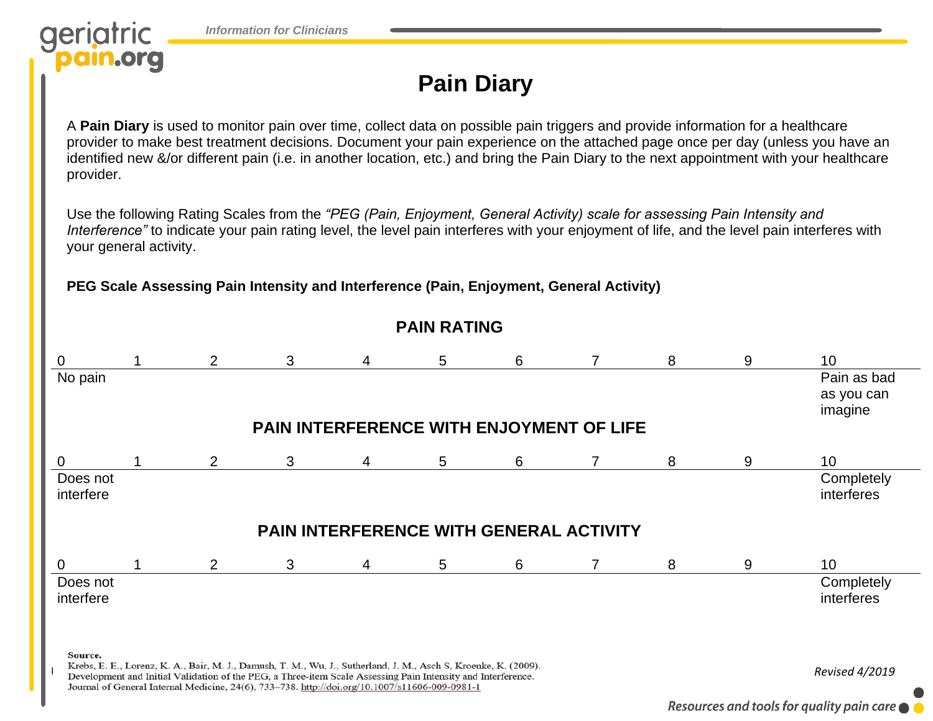



## **Pain Diary**

A **Pain Diary** is used to monitor pain over time, collect data on possible pain triggers and provide information for a healthcare provider to make best treatment decisions. Document your pain experience on the attached page once per day (unless you have an identified new &/or different pain (i.e. in another location, etc.) and bring the Pain Diary to the next appointment with your healthcare provider.

Use the following Rating Scales from the *"PEG (Pain, Enjoyment, General Activity) scale for assessing Pain Intensity and Interference"* to indicate your pain rating level, the level pain interferes with your enjoyment of life, and the level pain interferes with your general activity.

**PEG Scale Assessing Pain Intensity and Interference (Pain, Enjoyment, General Activity)**

## **PAIN RATING** 0 1 2 3 4 5 6 7 8 9 10 No pain Pain as bad as you can imagine **PAIN INTERFERENCE WITH ENJOYMENT OF LIFE** 0 1 2 3 4 5 6 7 8 9 10 **Completely** Does not interfere interferes **PAIN INTERFERENCE WITH GENERAL ACTIVITY** 0 1 2 3 4 5 6 7 8 9 10 Does not **Completely** interfere interferes Source. Krebs, E. E., Lorenz, K. A., Bair, M. J., Damush, T. M., Wu, J., Sutherland, J. M., Asch S, Kroenke, K. (2009).<br>Development and Initial Validation of the PEG, a Three-item Scale Assessing Pain Intensity and Interference. Journal of General Internal Medicine, 24(6), 733-738. http://doi.org/10.1007/s11606-009-0981-1

Resources and tools for quality pain care  $\bullet$